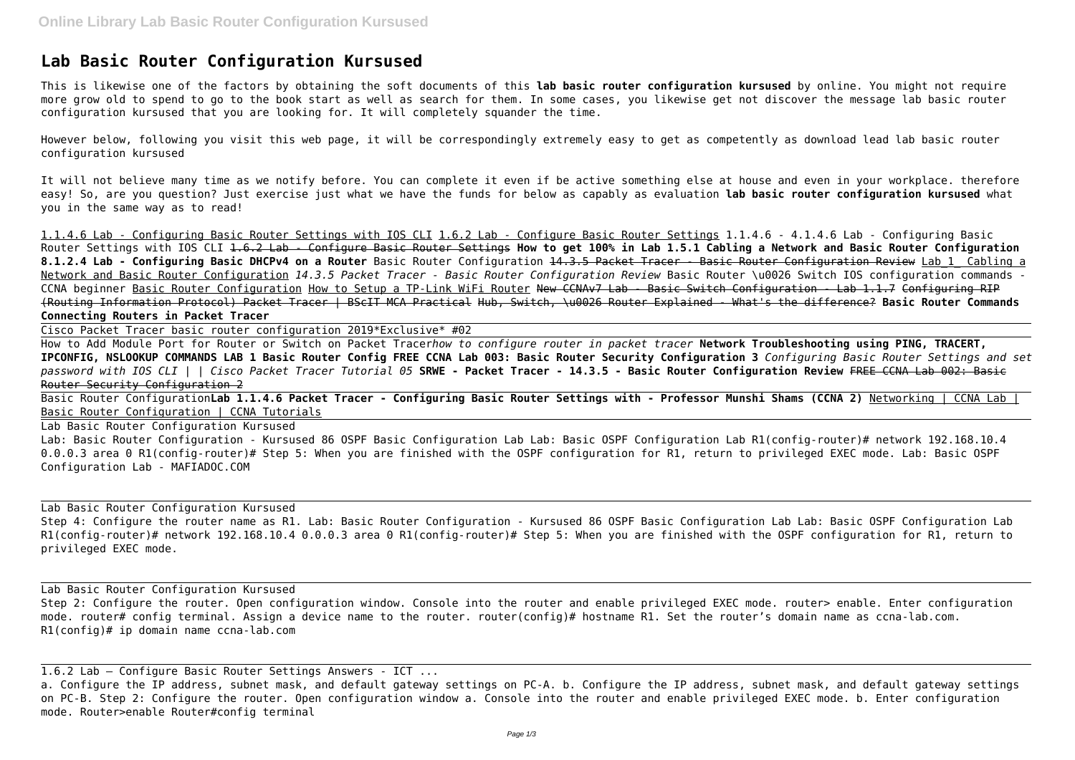## **Lab Basic Router Configuration Kursused**

This is likewise one of the factors by obtaining the soft documents of this **lab basic router configuration kursused** by online. You might not require more grow old to spend to go to the book start as well as search for them. In some cases, you likewise get not discover the message lab basic router configuration kursused that you are looking for. It will completely squander the time.

However below, following you visit this web page, it will be correspondingly extremely easy to get as competently as download lead lab basic router configuration kursused

It will not believe many time as we notify before. You can complete it even if be active something else at house and even in your workplace. therefore easy! So, are you question? Just exercise just what we have the funds for below as capably as evaluation **lab basic router configuration kursused** what you in the same way as to read!

Basic Router Configuration**Lab 1.1.4.6 Packet Tracer - Configuring Basic Router Settings with - Professor Munshi Shams (CCNA 2)** Networking | CCNA Lab | Basic Router Configuration | CCNA Tutorials

1.1.4.6 Lab - Configuring Basic Router Settings with IOS CLI 1.6.2 Lab - Configure Basic Router Settings 1.1.4.6 - 4.1.4.6 Lab - Configuring Basic Router Settings with IOS CLI 1.6.2 Lab - Configure Basic Router Settings **How to get 100% in Lab 1.5.1 Cabling a Network and Basic Router Configuration 8.1.2.4 Lab - Configuring Basic DHCPv4 on a Router** Basic Router Configuration 14.3.5 Packet Tracer - Basic Router Configuration Review Lab\_1\_ Cabling a Network and Basic Router Configuration *14.3.5 Packet Tracer - Basic Router Configuration Review* Basic Router \u0026 Switch IOS configuration commands - CCNA beginner Basic Router Configuration How to Setup a TP-Link WiFi Router New CCNAv7 Lab - Basic Switch Configuration - Lab 1.1.7 Configuring RIP (Routing Information Protocol) Packet Tracer | BScIT MCA Practical Hub, Switch, \u0026 Router Explained - What's the difference? **Basic Router Commands Connecting Routers in Packet Tracer**

Step 4: Configure the router name as R1. Lab: Basic Router Configuration - Kursused 86 OSPF Basic Configuration Lab Lab: Basic OSPF Configuration Lab R1(config-router)# network 192.168.10.4 0.0.0.3 area 0 R1(config-router)# Step 5: When you are finished with the OSPF configuration for R1, return to privileged EXEC mode.

Cisco Packet Tracer basic router configuration 2019\*Exclusive\* #02

How to Add Module Port for Router or Switch on Packet Tracer*how to configure router in packet tracer* **Network Troubleshooting using PING, TRACERT, IPCONFIG, NSLOOKUP COMMANDS LAB 1 Basic Router Config FREE CCNA Lab 003: Basic Router Security Configuration 3** *Configuring Basic Router Settings and set password with IOS CLI | | Cisco Packet Tracer Tutorial 05* **SRWE - Packet Tracer - 14.3.5 - Basic Router Configuration Review** FREE CCNA Lab 002: Basic Router Security Configuration 2

Lab Basic Router Configuration Kursused

Lab: Basic Router Configuration - Kursused 86 OSPF Basic Configuration Lab Lab: Basic OSPF Configuration Lab R1(config-router)# network 192.168.10.4 0.0.0.3 area 0 R1(config-router)# Step 5: When you are finished with the OSPF configuration for R1, return to privileged EXEC mode. Lab: Basic OSPF Configuration Lab - MAFIADOC.COM

Lab Basic Router Configuration Kursused

Lab Basic Router Configuration Kursused

Step 2: Configure the router. Open configuration window. Console into the router and enable privileged EXEC mode. router> enable. Enter configuration mode. router# config terminal. Assign a device name to the router. router(config)# hostname R1. Set the router's domain name as ccna-lab.com. R1(config)# ip domain name ccna-lab.com

1.6.2 Lab – Configure Basic Router Settings Answers - ICT ... a. Configure the IP address, subnet mask, and default gateway settings on PC-A. b. Configure the IP address, subnet mask, and default gateway settings on PC-B. Step 2: Configure the router. Open configuration window a. Console into the router and enable privileged EXEC mode. b. Enter configuration mode. Router>enable Router#config terminal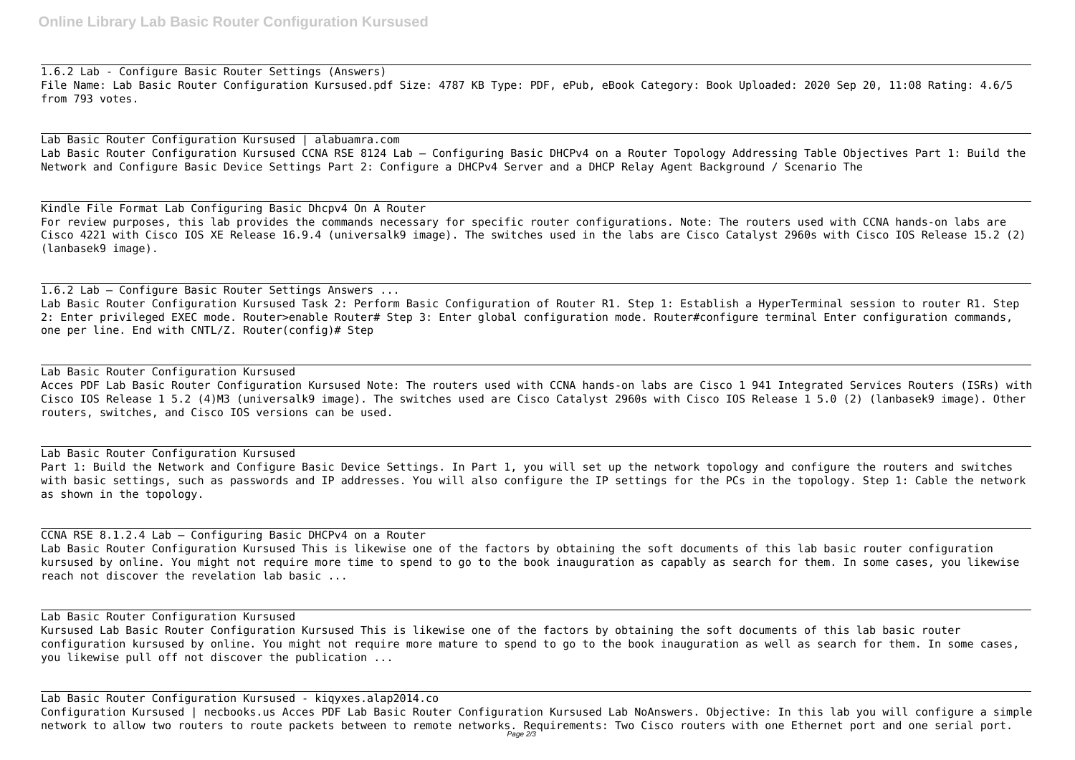1.6.2 Lab - Configure Basic Router Settings (Answers) File Name: Lab Basic Router Configuration Kursused.pdf Size: 4787 KB Type: PDF, ePub, eBook Category: Book Uploaded: 2020 Sep 20, 11:08 Rating: 4.6/5 from 793 votes.

Lab Basic Router Configuration Kursused | alabuamra.com Lab Basic Router Configuration Kursused CCNA RSE 8124 Lab – Configuring Basic DHCPv4 on a Router Topology Addressing Table Objectives Part 1: Build the Network and Configure Basic Device Settings Part 2: Configure a DHCPv4 Server and a DHCP Relay Agent Background / Scenario The

Kindle File Format Lab Configuring Basic Dhcpv4 On A Router For review purposes, this lab provides the commands necessary for specific router configurations. Note: The routers used with CCNA hands-on labs are Cisco 4221 with Cisco IOS XE Release 16.9.4 (universalk9 image). The switches used in the labs are Cisco Catalyst 2960s with Cisco IOS Release 15.2 (2) (lanbasek9 image).

1.6.2 Lab – Configure Basic Router Settings Answers ... Lab Basic Router Configuration Kursused Task 2: Perform Basic Configuration of Router R1. Step 1: Establish a HyperTerminal session to router R1. Step 2: Enter privileged EXEC mode. Router>enable Router# Step 3: Enter global configuration mode. Router#configure terminal Enter configuration commands, one per line. End with CNTL/Z. Router(config)# Step

Lab Basic Router Configuration Kursused Acces PDF Lab Basic Router Configuration Kursused Note: The routers used with CCNA hands-on labs are Cisco 1 941 Integrated Services Routers (ISRs) with Cisco IOS Release 1 5.2 (4)M3 (universalk9 image). The switches used are Cisco Catalyst 2960s with Cisco IOS Release 1 5.0 (2) (lanbasek9 image). Other routers, switches, and Cisco IOS versions can be used.

Lab Basic Router Configuration Kursused Part 1: Build the Network and Configure Basic Device Settings. In Part 1, you will set up the network topology and configure the routers and switches with basic settings, such as passwords and IP addresses. You will also configure the IP settings for the PCs in the topology. Step 1: Cable the network as shown in the topology.

CCNA RSE 8.1.2.4 Lab – Configuring Basic DHCPv4 on a Router Lab Basic Router Configuration Kursused This is likewise one of the factors by obtaining the soft documents of this lab basic router configuration kursused by online. You might not require more time to spend to go to the book inauguration as capably as search for them. In some cases, you likewise reach not discover the revelation lab basic ...

Lab Basic Router Configuration Kursused Kursused Lab Basic Router Configuration Kursused This is likewise one of the factors by obtaining the soft documents of this lab basic router configuration kursused by online. You might not require more mature to spend to go to the book inauguration as well as search for them. In some cases, you likewise pull off not discover the publication ...

Lab Basic Router Configuration Kursused - kiqyxes.alap2014.co Configuration Kursused | necbooks.us Acces PDF Lab Basic Router Configuration Kursused Lab NoAnswers. Objective: In this lab you will configure a simple network to allow two routers to route packets between to remote networks. Requirements: Two Cisco routers with one Ethernet port and one serial port. Page 2/3